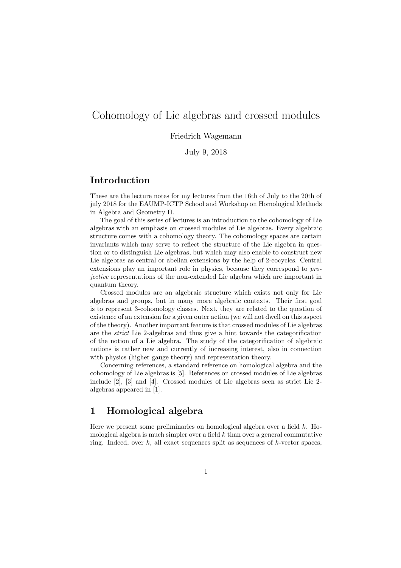# Cohomology of Lie algebras and crossed modules

### Friedrich Wagemann

July 9, 2018

### Introduction

These are the lecture notes for my lectures from the 16th of July to the 20th of july 2018 for the EAUMP-ICTP School and Workshop on Homological Methods in Algebra and Geometry II.

The goal of this series of lectures is an introduction to the cohomology of Lie algebras with an emphasis on crossed modules of Lie algebras. Every algebraic structure comes with a cohomology theory. The cohomology spaces are certain invariants which may serve to reflect the structure of the Lie algebra in question or to distinguish Lie algebras, but which may also enable to construct new Lie algebras as central or abelian extensions by the help of 2-cocycles. Central extensions play an important role in physics, because they correspond to projective representations of the non-extended Lie algebra which are important in quantum theory.

Crossed modules are an algebraic structure which exists not only for Lie algebras and groups, but in many more algebraic contexts. Their first goal is to represent 3-cohomology classes. Next, they are related to the question of existence of an extension for a given outer action (we will not dwell on this aspect of the theory). Another important feature is that crossed modules of Lie algebras are the strict Lie 2-algebras and thus give a hint towards the categorification of the notion of a Lie algebra. The study of the categorification of algebraic notions is rather new and currently of increasing interest, also in connection with physics (higher gauge theory) and representation theory.

Concerning references, a standard reference on homological algebra and the cohomology of Lie algebras is [5]. References on crossed modules of Lie algebras include [2], [3] and [4]. Crossed modules of Lie algebras seen as strict Lie 2 algebras appeared in [1].

### 1 Homological algebra

Here we present some preliminaries on homological algebra over a field k. Homological algebra is much simpler over a field  $k$  than over a general commutative ring. Indeed, over  $k$ , all exact sequences split as sequences of  $k$ -vector spaces,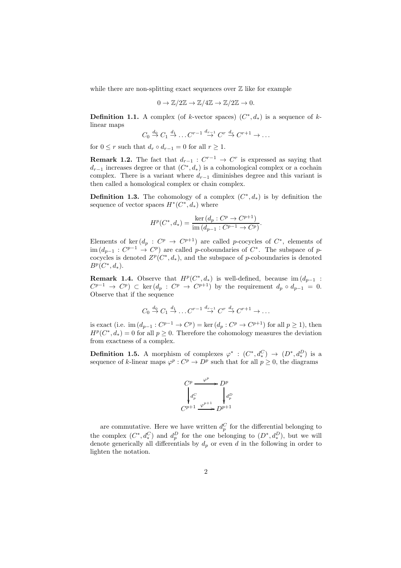while there are non-splitting exact sequences over  $\mathbb Z$  like for example

$$
0 \to \mathbb{Z}/2\mathbb{Z} \to \mathbb{Z}/4\mathbb{Z} \to \mathbb{Z}/2\mathbb{Z} \to 0.
$$

**Definition 1.1.** A complex (of k-vector spaces)  $(C^*, d_*)$  is a sequence of klinear maps

$$
C_0 \stackrel{d_0}{\rightarrow} C_1 \stackrel{d_1}{\rightarrow} \dots C^{r-1} \stackrel{d_{r-1}}{\rightarrow} C^r \stackrel{d_r}{\rightarrow} C^{r+1} \rightarrow \dots
$$

for  $0 \leq r$  such that  $d_r \circ d_{r-1} = 0$  for all  $r \geq 1$ .

**Remark 1.2.** The fact that  $d_{r-1}: C^{r-1} \to C^r$  is expressed as saying that  $d_{r-1}$  increases degree or that  $(C^*, d_*)$  is a cohomological complex or a cochain complex. There is a variant where  $d_{r-1}$  diminishes degree and this variant is then called a homological complex or chain complex.

**Definition 1.3.** The cohomology of a complex  $(C^*, d_*)$  is by definition the sequence of vector spaces  $H^*(C^*, d_*)$  where

$$
H^{p}(C^*, d_*) = \frac{\ker (d_p : C^p \to C^{p+1})}{\text{im } (d_{p-1} : C^{p-1} \to C^p)}.
$$

Elements of ker  $(d_p : C^p \to C^{p+1})$  are called p-cocycles of  $C^*$ , elements of  $\text{im}(d_{p-1}: C^{p-1} \to C^p)$  are called p-coboundaries of  $C^*$ . The subspace of pcocycles is denoted  $Z^p(C^*, d_*)$ , and the subspace of p-coboundaries is denoted  $B^p(C^*, d_*).$ 

**Remark 1.4.** Observe that  $H^p(C^*, d_*)$  is well-defined, because im  $(d_{p-1}$ :  $C^{p-1} \rightarrow C^p$ )  $\subset \text{ker}(d_p : C^p \rightarrow C^{p+1})$  by the requirement  $d_p \circ d_{p-1} = 0$ . Observe that if the sequence

$$
C_0 \stackrel{d_0}{\rightarrow} C_1 \stackrel{d_1}{\rightarrow} \dots C^{r-1} \stackrel{d_{r-1}}{\rightarrow} C^r \stackrel{d_r}{\rightarrow} C^{r+1} \rightarrow \dots
$$

is exact (i.e. im  $(d_{p-1}: C^{p-1} \to C^p) = \text{ker} (d_p: C^p \to C^{p+1})$  for all  $p \ge 1$ ), then  $H^p(C^*, d_*) = 0$  for all  $p \geq 0$ . Therefore the cohomology measures the deviation from exactness of a complex.

**Definition 1.5.** A morphism of complexes  $\varphi^* : (C^*, d_*^C) \to (D^*, d_*^D)$  is a sequence of k-linear maps  $\varphi^p : C^p \to D^p$  such that for all  $p \geq 0$ , the diagrams



are commutative. Here we have written  $d_p^C$  for the differential belonging to the complex  $(C^*, d_*^C)$  and  $d_p^D$  for the one belonging to  $(D^*, d_*^D)$ , but we will denote generically all differentials by  $d_p$  or even d in the following in order to lighten the notation.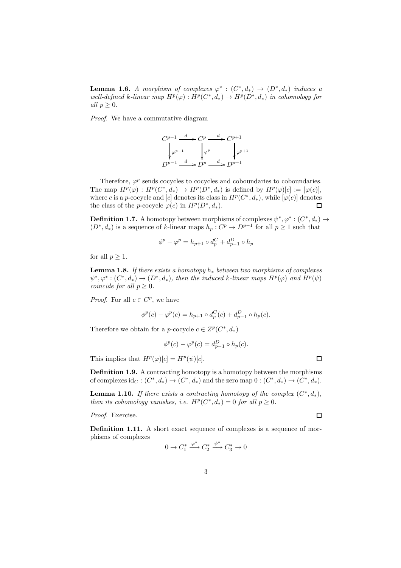**Lemma 1.6.** A morphism of complexes  $\varphi^* : (C^*, d_*) \to (D^*, d_*)$  induces a well-defined k-linear map  $H^p(\varphi): H^p(C^*, d_*) \to H^p(D^*, d_*)$  in cohomology for all  $p \geq 0$ .

Proof. We have a commutative diagram

$$
C^{p-1} \xrightarrow{d} C^p \xrightarrow{d} C^{p+1}
$$
  

$$
\downarrow \varphi^{p-1} \qquad \qquad \downarrow \varphi^p \qquad \qquad \downarrow \varphi^{p+1}
$$
  

$$
D^{p-1} \xrightarrow{d} D^p \xrightarrow{d} D^{p+1}
$$

Therefore,  $\varphi^p$  sends cocycles to cocycles and coboundaries to coboundaries. The map  $H^p(\varphi) : H^p(C^*, d_*) \to H^p(D^*, d_*)$  is defined by  $H^p(\varphi)[c] := [\varphi(c)],$ where c is a p-cocycle and [c] denotes its class in  $H^p(C^*, d_*)$ , while  $[\varphi(c)]$  denotes the class of the *p*-cocycle  $\varphi(c)$  in  $H^p(D^*, d_*).$  $\Box$ 

**Definition 1.7.** A homotopy between morphisms of complexes  $\psi^*, \varphi^*: (C^*, d_*) \to$  $(D^*, d_*)$  is a sequence of k-linear maps  $h_p: C^p \to D^{p-1}$  for all  $p \ge 1$  such that

$$
\phi^p - \varphi^p = h_{p+1} \circ d_p^C + d_{p-1}^D \circ h_p
$$

for all  $p \geq 1$ .

**Lemma 1.8.** If there exists a homotopy  $h_*$  between two morphisms of complexes  $\psi^*, \varphi^*: (C^*, d_*) \to (D^*, d_*),$  then the induced k-linear maps  $H^p(\varphi)$  and  $H^p(\psi)$ coincide for all  $p \geq 0$ .

*Proof.* For all  $c \in C^p$ , we have

$$
\phi^{p}(c) - \varphi^{p}(c) = h_{p+1} \circ d_{p}^{C}(c) + d_{p-1}^{D} \circ h_{p}(c).
$$

Therefore we obtain for a *p*-cocycle  $c \in Z^p(C^*, d_*)$ 

$$
\phi^p(c) - \varphi^p(c) = d_{p-1}^D \circ h_p(c).
$$

This implies that  $H^p(\varphi)[c] = H^p(\psi)[c]$ .

Definition 1.9. A contracting homotopy is a homotopy between the morphisms of complexes  $\mathrm{id}_C : (C^*, d_*) \to (C^*, d_*)$  and the zero map  $0 : (C^*, d_*) \to (C^*, d_*)$ .

**Lemma 1.10.** If there exists a contracting homotopy of the complex  $(C^*, d_*)$ , then its cohomology vanishes, i.e.  $H^p(C^*, d_*) = 0$  for all  $p \geq 0$ .

Proof. Exercise.

 $\Box$ 

 $\Box$ 

Definition 1.11. A short exact sequence of complexes is a sequence of morphisms of complexes ∗ ∗

$$
0 \to C_1^* \xrightarrow{\varphi^*} C_2^* \xrightarrow{\psi^*} C_3^* \to 0
$$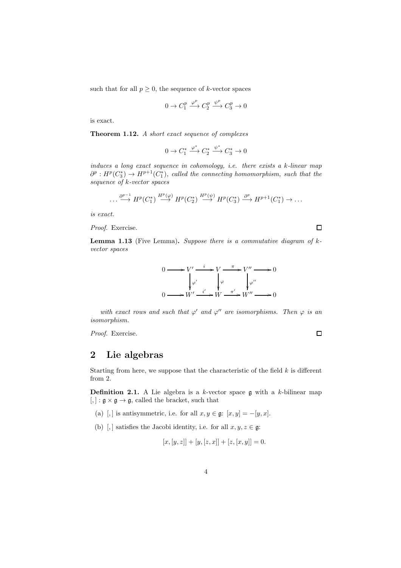such that for all  $p \geq 0$ , the sequence of k-vector spaces

$$
0 \to C_1^p \xrightarrow{\varphi^p} C_2^p \xrightarrow{\psi^p} C_3^p \to 0
$$

is exact.

Theorem 1.12. A short exact sequence of complexes

$$
0 \to C_1^* \xrightarrow{\varphi^*} C_2^* \xrightarrow{\psi^*} C_3^* \to 0
$$

induces a long exact sequence in cohomology, i.e. there exists a k-linear map  $\partial^p: H^p(C_3^*) \to H^{p+1}(C_1^*)$ , called the connecting homomorphism, such that the sequence of k-vector spaces

$$
\dots \xrightarrow{\partial^{p-1}} H^p(C_1^*) \xrightarrow{H^p(\varphi)} H^p(C_2^*) \xrightarrow{H^p(\psi)} H^p(C_3^*) \xrightarrow{\partial^p} H^{p+1}(C_1^*) \to \dots
$$

is exact.

Proof. Exercise.

 $\Box$ 

**Lemma 1.13** (Five Lemma). Suppose there is a commutative diagram of  $k$ vector spaces



with exact rows and such that  $\varphi'$  and  $\varphi''$  are isomorphisms. Then  $\varphi$  is an isomorphism.

Proof. Exercise.

 $\Box$ 

# 2 Lie algebras

Starting from here, we suppose that the characteristic of the field  $k$  is different from 2.

**Definition 2.1.** A Lie algebra is a k-vector space  $\mathfrak g$  with a k-bilinear map  $[, ]: \mathfrak{g} \times \mathfrak{g} \rightarrow \mathfrak{g}$ , called the bracket, such that

- (a) [,] is antisymmetric, i.e. for all  $x, y \in \mathfrak{g}$ :  $[x, y] = -[y, x]$ .
- (b) [,] satisfies the Jacobi identity, i.e. for all  $x, y, z \in \mathfrak{g}$ :

$$
[x,[y,z]] + [y,[z,x]] + [z,[x,y]] = 0.
$$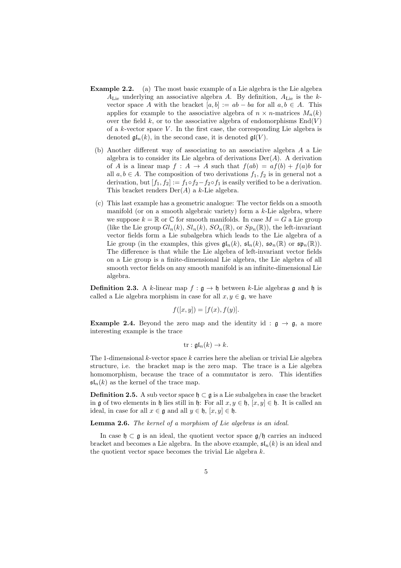- Example 2.2. (a) The most basic example of a Lie algebra is the Lie algebra  $A_{\text{Lie}}$  underlying an associative algebra A. By definition,  $A_{\text{Lie}}$  is the kvector space A with the bracket  $[a, b] := ab - ba$  for all  $a, b \in A$ . This applies for example to the associative algebra of  $n \times n$ -matrices  $M_n(k)$ over the field  $k$ , or to the associative algebra of endomorphisms  $End(V)$ of a  $k$ -vector space  $V$ . In the first case, the corresponding Lie algebra is denoted  $\mathfrak{gl}_n(k)$ , in the second case, it is denoted  $\mathfrak{gl}(V)$ .
	- (b) Another different way of associating to an associative algebra A a Lie algebra is to consider its Lie algebra of derivations  $Der(A)$ . A derivation of A is a linear map  $f : A \to A$  such that  $f(ab) = af(b) + f(a)b$  for all  $a, b \in A$ . The composition of two derivations  $f_1, f_2$  is in general not a derivation, but  $[f_1, f_2] := f_1 \circ f_2 - f_2 \circ f_1$  is easily verified to be a derivation. This bracket renders  $Der(A)$  a k-Lie algebra.
	- (c) This last example has a geometric analogue: The vector fields on a smooth manifold (or on a smooth algebraic variety) form a  $k$ -Lie algebra, where we suppose  $k = \mathbb{R}$  or  $\mathbb{C}$  for smooth manifolds. In case  $M = G$  a Lie group (like the Lie group  $Gl_n(k)$ ,  $Sl_n(k)$ ,  $SO_n(\mathbb{R})$ , or  $Sp_n(\mathbb{R})$ ), the left-invariant vector fields form a Lie subalgebra which leads to the Lie algebra of a Lie group (in the examples, this gives  $\mathfrak{gl}_n(k)$ ,  $\mathfrak{sl}_n(k)$ ,  $\mathfrak{so}_n(\mathbb{R})$  or  $\mathfrak{sp}_n(\mathbb{R})$ ). The difference is that while the Lie algebra of left-invariant vector fields on a Lie group is a finite-dimensional Lie algebra, the Lie algebra of all smooth vector fields on any smooth manifold is an infinite-dimensional Lie algebra.

**Definition 2.3.** A k-linear map  $f : \mathfrak{g} \to \mathfrak{h}$  between k-Lie algebras g and h is called a Lie algebra morphism in case for all  $x, y \in \mathfrak{g}$ , we have

$$
f([x, y]) = [f(x), f(y)].
$$

**Example 2.4.** Beyond the zero map and the identity id :  $\mathfrak{g} \rightarrow \mathfrak{g}$ , a more interesting example is the trace

$$
\mathrm{tr}: \mathfrak{gl}_n(k) \to k.
$$

The 1-dimensional  $k$ -vector space  $k$  carries here the abelian or trivial Lie algebra structure, i.e. the bracket map is the zero map. The trace is a Lie algebra homomorphism, because the trace of a commutator is zero. This identifies  $\mathfrak{sl}_n(k)$  as the kernel of the trace map.

Definition 2.5. A sub vector space  $\mathfrak{h} \subset \mathfrak{g}$  is a Lie subalgebra in case the bracket in g of two elements in h lies still in h: For all  $x, y \in \mathfrak{h}$ ,  $[x, y] \in \mathfrak{h}$ . It is called an ideal, in case for all  $x \in \mathfrak{g}$  and all  $y \in \mathfrak{h}$ ,  $[x, y] \in \mathfrak{h}$ .

Lemma 2.6. The kernel of a morphism of Lie algebras is an ideal.

In case  $\mathfrak{h} \subset \mathfrak{g}$  is an ideal, the quotient vector space  $\mathfrak{g}/\mathfrak{h}$  carries an induced bracket and becomes a Lie algebra. In the above example,  $\mathfrak{sl}_n(k)$  is an ideal and the quotient vector space becomes the trivial Lie algebra k.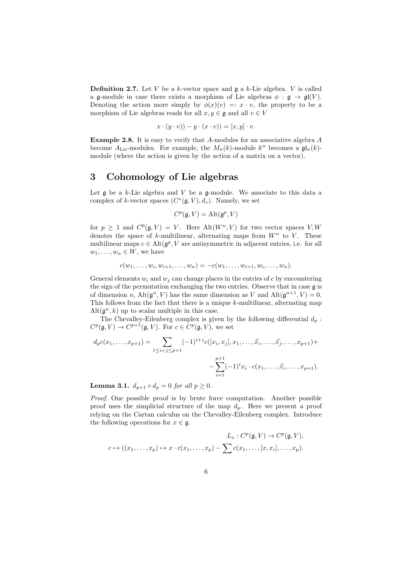**Definition 2.7.** Let V be a k-vector space and  $\mathfrak{g}$  a k-Lie algebra. V is called a g-module in case there exists a morphism of Lie algebras  $\phi : \mathfrak{g} \to \mathfrak{gl}(V)$ . Denoting the action more simply by  $\phi(x)(v) =: x \cdot v$ , the property to be a morphism of Lie algebras reads for all  $x, y \in \mathfrak{g}$  and all  $v \in V$ 

$$
x \cdot (y \cdot v)) - y \cdot (x \cdot v) = [x, y] \cdot v.
$$

Example 2.8. It is easy to verify that A-modules for an associative algebra A become  $A_{\text{Lie}}$ -modules. For example, the  $M_n(k)$ -module  $k^n$  becomes a  $\mathfrak{gl}_n(k)$ module (where the action is given by the action of a matrix on a vector).

# 3 Cohomology of Lie algebras

Let  $\mathfrak g$  be a k-Lie algebra and V be a  $\mathfrak g$ -module. We associate to this data a complex of k-vector spaces  $(C^*(\mathfrak{g}, V), d_*)$ . Namely, we set

$$
C^p(\mathfrak{g}, V) = \mathrm{Alt}(\mathfrak{g}^p, V)
$$

for  $p \geq 1$  and  $C^{0}(\mathfrak{g}, V) = V$ . Here  $\mathrm{Alt}(W^{n}, V)$  for two vector spaces V, W denotes the space of  $k$ -multilinear, alternating maps from  $W<sup>n</sup>$  to  $V$ . These multilinear maps  $c \in \text{Alt}(\mathfrak{g}^p, V)$  are antisymmetric in adjacent entries, i.e. for all  $w_1, \ldots, w_n \in W$ , we have

$$
c(w_1, \ldots, w_i, w_{i+1}, \ldots, w_n) = -c(w_1, \ldots, w_{i+1}, w_i, \ldots, w_n).
$$

General elements  $w_i$  and  $w_j$  can change places in the entries of c by encountering the sign of the permutation exchanging the two entries. Observe that in case g is of dimension n,  $\text{Alt}(\mathfrak{g}^n, V)$  has the same dimension as V and  $\text{Alt}(\mathfrak{g}^{n+1}, V) = 0$ . This follows from the fact that there is a unique k-multilinear, alternating map  $\mathrm{Alt}(\mathfrak{g}^n, k)$  up to scalar multiple in this case.

The Chevalley-Eilenberg complex is given by the following differential  $d_p$ :  $C^p(\mathfrak{g}, V) \to C^{p+1}(\mathfrak{g}, V)$ . For  $c \in C^p(\mathfrak{g}, V)$ , we set

$$
d_p c(x_1, \ldots, x_{p+1}) = \sum_{1 \leq i < j \leq p+1} (-1)^{i+j} c([x_i, x_j], x_1, \ldots, \hat{x_i}, \ldots, \hat{x_j}, \ldots, x_{p+1}) + \newline - \sum_{i=1}^{p+1} (-1)^i x_i \cdot c(x_1, \ldots, \hat{x_i}, \ldots, x_{p+1}).
$$

**Lemma 3.1.**  $d_{p+1} \circ d_p = 0$  for all  $p \ge 0$ .

Proof. One possible proof is by brute force computation. Another possible proof uses the simplicial structure of the map  $d_p$ . Here we present a proof relying on the Cartan calculus on the Chevalley-Eilenberg complex. Introduce the following operations for  $x \in \mathfrak{g}$ .

$$
L_x: C^p(\mathfrak{g}, V) \to C^p(\mathfrak{g}, V),
$$
  

$$
c \mapsto ((x_1, \dots, x_p) \mapsto x \cdot c(x_1, \dots, x_p) - \sum c(x_1, \dots, [x, x_i], \dots, x_p).
$$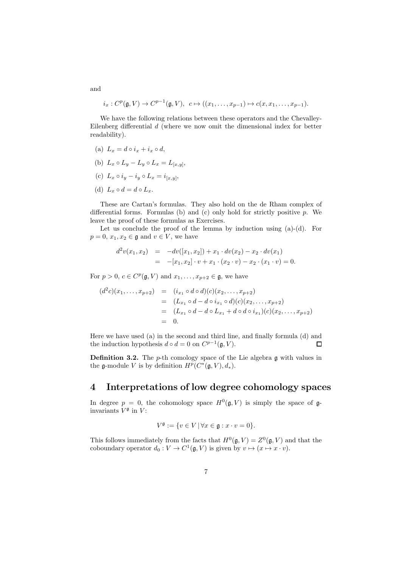$$
i_x: C^p(\mathfrak{g}, V) \to C^{p-1}(\mathfrak{g}, V), c \mapsto ((x_1, \ldots, x_{p-1}) \mapsto c(x, x_1, \ldots, x_{p-1}).
$$

We have the following relations between these operators and the Chevalley-Eilenberg differential d (where we now omit the dimensional index for better readability).

- (a)  $L_x = d \circ i_x + i_x \circ d$ ,
- (b)  $L_x \circ L_y L_y \circ L_x = L_{[x,y]},$
- (c)  $L_x \circ i_y i_y \circ L_x = i_{[x,y]},$
- (d)  $L_r \circ d = d \circ L_r$ .

These are Cartan's formulas. They also hold on the de Rham complex of differential forms. Formulas (b) and (c) only hold for strictly positive  $p$ . We leave the proof of these formulas as Exercises.

Let us conclude the proof of the lemma by induction using  $(a)-(d)$ . For  $p = 0, x_1, x_2 \in \mathfrak{g}$  and  $v \in V$ , we have

$$
d^2v(x_1, x_2) = -dv([x_1, x_2]) + x_1 \cdot dv(x_2) - x_2 \cdot dv(x_1)
$$
  
= 
$$
-[x_1, x_2] \cdot v + x_1 \cdot (x_2 \cdot v) - x_2 \cdot (x_1 \cdot v) = 0.
$$

For  $p > 0$ ,  $c \in C^p(\mathfrak{g}, V)$  and  $x_1, \ldots, x_{p+2} \in \mathfrak{g}$ , we have

$$
(d2c)(x1,...,xp+2) = (ix1 \circ d \circ d)(c)(x2,...,xp+2)
$$
  
= (L<sub>x<sub>1</sub></sub> \circ d - d \circ i<sub>x<sub>1</sub></sub> \circ d)(c)(x<sub>2</sub>,...,x<sub>p+2</sub>)  
= (L<sub>x<sub>1</sub></sub> \circ d - d \circ L<sub>x<sub>1</sub></sub> + d \circ d \circ i<sub>x<sub>1</sub></sub>)(c)(x<sub>2</sub>,...,x<sub>p+2</sub>)  
= 0.

Here we have used (a) in the second and third line, and finally formula (d) and the induction hypothesis  $d \circ d = 0$  on  $C^{p-1}(\mathfrak{g}, V)$ .  $\Box$ 

**Definition 3.2.** The *p*-th comology space of the Lie algebra  $\mathfrak g$  with values in the g-module V is by definition  $H^p(C^*(\mathfrak{g}, V), d_*)$ .

### 4 Interpretations of low degree cohomology spaces

In degree  $p = 0$ , the cohomology space  $H^0(\mathfrak{g}, V)$  is simply the space of  $\mathfrak{g}$ invariants  $V^{\mathfrak{g}}$  in V:

$$
V^{\mathfrak{g}} := \{ v \in V \, | \, \forall x \in \mathfrak{g} : x \cdot v = 0 \}.
$$

This follows immediately from the facts that  $H^0(\mathfrak{g}, V) = Z^0(\mathfrak{g}, V)$  and that the coboundary operator  $d_0: V \to C^1(\mathfrak{g}, V)$  is given by  $v \mapsto (x \mapsto x \cdot v)$ .

and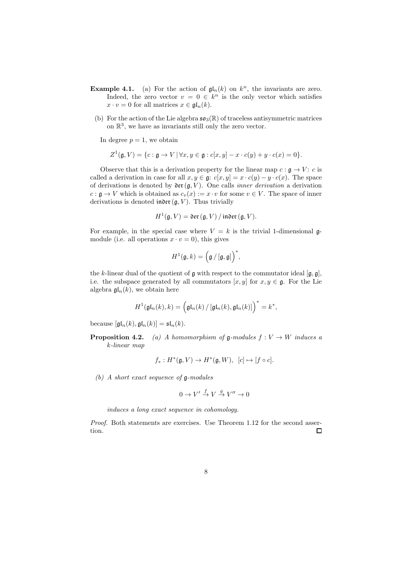- **Example 4.1.** (a) For the action of  $\mathfrak{gl}_n(k)$  on  $k^n$ , the invariants are zero. Indeed, the zero vector  $v = 0 \in k^n$  is the only vector which satisfies  $x \cdot v = 0$  for all matrices  $x \in \mathfrak{gl}_n(k)$ .
- (b) For the action of the Lie algebra  $\mathfrak{so}_3(\mathbb{R})$  of traceless antisymmetric matrices on  $\mathbb{R}^3$ , we have as invariants still only the zero vector.

In degree  $p = 1$ , we obtain

$$
Z^1(\mathfrak{g}, V) = \{c : \mathfrak{g} \to V \, | \, \forall x, y \in \mathfrak{g} : c[x, y] - x \cdot c(y) + y \cdot c(x) = 0\}.
$$

Observe that this is a derivation property for the linear map  $c : \mathfrak{g} \to V : c$  is called a derivation in case for all  $x, y \in \mathfrak{g}: c[x, y] = x \cdot c(y) - y \cdot c(x)$ . The space of derivations is denoted by  $\mathfrak{der}(\mathfrak{g}, V)$ . One calls *inner derivation* a derivation  $c : \mathfrak{g} \to V$  which is obtained as  $c_v(x) := x \cdot v$  for some  $v \in V$ . The space of inner derivations is denoted index  $(\mathfrak{g}, V)$ . Thus trivially

$$
H^{1}(\mathfrak{g}, V) = \mathfrak{der}\left(\mathfrak{g}, V\right) / \mathfrak{inDer}\left(\mathfrak{g}, V\right).
$$

For example, in the special case where  $V = k$  is the trivial 1-dimensional gmodule (i.e. all operations  $x \cdot v = 0$ ), this gives

$$
H^1(\mathfrak{g},k) = \Bigl(\mathfrak{g}\,/\,[\mathfrak{g},\mathfrak{g}]\Bigr)^*,
$$

the k-linear dual of the quotient of  $\mathfrak g$  with respect to the commutator ideal  $[\mathfrak g, \mathfrak g]$ , i.e. the subspace generated by all commutators  $[x, y]$  for  $x, y \in \mathfrak{g}$ . For the Lie algebra  $\mathfrak{gl}_n(k)$ , we obtain here

$$
H^{1}(\mathfrak{gl}_{n}(k),k)=\Big(\mathfrak{gl}_{n}(k)\,/\,[\mathfrak{gl}_{n}(k),\mathfrak{gl}_{n}(k)]\Big)^{*}=k^{*},
$$

because  $[\mathfrak{gl}_n(k), \mathfrak{gl}_n(k)] = \mathfrak{sl}_n(k).$ 

**Proposition 4.2.** (a) A homomorphism of  $\mathfrak{g}\text{-modules } f : V \to W$  induces a k-linear map

$$
f_*: H^*(\mathfrak{g}, V) \to H^*(\mathfrak{g}, W), [c] \mapsto [f \circ c].
$$

(b) A short exact sequence of g-modules

$$
0\to V'\stackrel{f}{\to} V\stackrel{g}{\to} V''\to 0
$$

induces a long exact sequence in cohomology.

Proof. Both statements are exercises. Use Theorem 1.12 for the second assertion.  $\Box$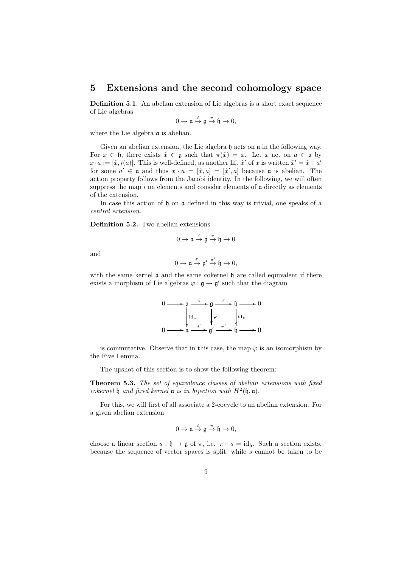### 5 Extensions and the second cohomology space

Definition 5.1. An abelian extension of Lie algebras is a short exact sequence of Lie algebras

$$
0\to \mathfrak{a}\overset{i}{\to} \mathfrak{g}\overset{\pi}{\to} \mathfrak{h}\to 0,
$$

where the Lie algebra  $\alpha$  is abelian.

Given an abelian extension, the Lie algebra  $\mathfrak h$  acts on  $\mathfrak a$  in the following way. For  $x \in \mathfrak{h}$ , there exists  $\hat{x} \in \mathfrak{g}$  such that  $\pi(\hat{x}) = x$ . Let x act on  $a \in \mathfrak{a}$  by  $x \cdot a := [\hat{x}, i(a)]$ . This is well-defined, as another lift  $\hat{x}'$  of x is written  $\hat{x}' = \hat{x} + a'$ for some  $a' \in \mathfrak{a}$  and thus  $x \cdot a = [\hat{x}, a] = [\hat{x}', a]$  because  $\mathfrak{a}$  is abelian. The action property follows from the Jacobi identity. In the following, we will often suppress the map  $i$  on elements and consider elements of  $\mathfrak a$  directly as elements of the extension.

In case this action of h on a defined in this way is trivial, one speaks of a central extension.

Definition 5.2. Two abelian extensions

$$
0\to \mathfrak{a}\overset{i}{\to} \mathfrak{g}\overset{\pi}{\to} \mathfrak{h}\to 0
$$

and

$$
0\to \mathfrak{a}\stackrel{i'}{\to} \mathfrak{g}'\stackrel{\pi'}{\to} \mathfrak{h}\to 0,
$$

with the same kernel  $\alpha$  and the same cokernel  $\beta$  are called equivalent if there exists a morphism of Lie algebras  $\varphi : \mathfrak{g} \to \mathfrak{g}'$  such that the diagram

$$
0 \longrightarrow a \xrightarrow{i} g \xrightarrow{\pi} b \longrightarrow 0
$$
  
\n
$$
\begin{cases}\n\operatorname{id}_a & \downarrow \varphi \\
\operatorname{id}_b & \downarrow \varphi\n\end{cases}\n\begin{cases}\n\operatorname{id}_b & \downarrow \\
\operatorname{id}_b & \downarrow \\
0 & \longrightarrow 0\n\end{cases}
$$

is commutative. Observe that in this case, the map  $\varphi$  is an isomorphism by the Five Lemma.

The upshot of this section is to show the following theorem:

Theorem 5.3. The set of equivalence classes of abelian extensions with fixed cokernel  $\mathfrak h$  and fixed kernel  $\mathfrak a$  is in bijection with  $H^2(\mathfrak h, \mathfrak a)$ .

For this, we will first of all associate a 2-cocycle to an abelian extension. For a given abelian extension

$$
0\to \mathfrak{a}\overset{i}{\to} \mathfrak{g}\overset{\pi}{\to} \mathfrak{h}\to 0,
$$

choose a linear section  $s : \mathfrak{h} \to \mathfrak{g}$  of  $\pi$ , i.e.  $\pi \circ s = \mathrm{id}_{\mathfrak{h}}$ . Such a section exists, because the sequence of vector spaces is split, while  $s$  cannot be taken to be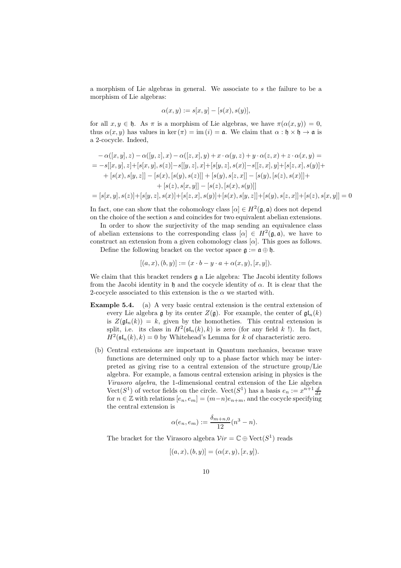a morphism of Lie algebras in general. We associate to s the failure to be a morphism of Lie algebras:

$$
\alpha(x, y) := s[x, y] - [s(x), s(y)],
$$

for all  $x, y \in \mathfrak{h}$ . As  $\pi$  is a morphism of Lie algebras, we have  $\pi(\alpha(x, y)) = 0$ , thus  $\alpha(x, y)$  has values in ker  $(\pi) = \text{im } (i) = \mathfrak{a}$ . We claim that  $\alpha : \mathfrak{h} \times \mathfrak{h} \to \mathfrak{a}$  is a 2-cocycle. Indeed,

$$
- \alpha([x, y], z) - \alpha([y, z], x) - \alpha([z, x], y) + x \cdot \alpha(y, z) + y \cdot \alpha(z, x) + z \cdot \alpha(x, y) =
$$
\n
$$
= -s[[x, y], z] + [s[x, y], s(z)] - s[[y, z], x] + [s[y, z], s(x)] - s[[z, x], y] + [s[z, x], s(y)] +
$$
\n
$$
+ [s(x), s[y, z]] - [s(x), [s(y), s(z)]] + [s(y), s[z, x]] - [s(y), [s(z), s(x)]] +
$$
\n
$$
+ [s(z), s[x, y]] - [s(z), [s(x), s(y)]]]
$$
\n
$$
= [s[x, y], s(z)] + [s[y, z], s(x)] + [s[z, x], s(y)] + [s(x), s[y, z]] + [s(y), s[z, x]] + [s(z), s[x, y]] = 0
$$

In fact, one can show that the cohomology class  $[\alpha] \in H^2(\mathfrak{g},\mathfrak{a})$  does not depend on the choice of the section s and coincides for two equivalent abelian extensions.

In order to show the surjectivity of the map sending an equivalence class of abelian extensions to the corresponding class  $[\alpha] \in H^2(\mathfrak{g},\mathfrak{a})$ , we have to construct an extension from a given cohomology class  $[\alpha]$ . This goes as follows.

Define the following bracket on the vector space  $\mathfrak{g} := \mathfrak{a} \oplus \mathfrak{h}$ .

$$
[(a, x), (b, y)] := (x \cdot b - y \cdot a + \alpha(x, y), [x, y]).
$$

We claim that this bracket renders  $\mathfrak g$  a Lie algebra: The Jacobi identity follows from the Jacobi identity in h and the cocycle identity of  $\alpha$ . It is clear that the 2-cocycle associated to this extension is the  $\alpha$  we started with.

- Example 5.4. (a) A very basic central extension is the central extension of every Lie algebra g by its center  $Z(\mathfrak{g})$ . For example, the center of  $\mathfrak{gl}_n(k)$ is  $Z(\mathfrak{gl}_n(k)) = k$ , given by the homotheties. This central extension is split, i.e. its class in  $H^2(\mathfrak{sl}_n(k), k)$  is zero (for any field k !). In fact,  $H^2(\mathfrak{sl}_n(k), k) = 0$  by Whitehead's Lemma for k of characteristic zero.
	- (b) Central extensions are important in Quantum mechanics, because wave functions are determined only up to a phase factor which may be interpreted as giving rise to a central extension of the structure group/Lie algebra. For example, a famous central extension arising in physics is the Virasoro algebra, the 1-dimensional central extension of the Lie algebra  $\text{Vect}(S^1)$  of vector fields on the circle.  $\text{Vect}(S^1)$  has a basis  $e_n := x^{n+1} \frac{d}{dx}$ for  $n \in \mathbb{Z}$  with relations  $[e_n, e_m] = (m-n)e_{n+m}$ , and the cocycle specifying the central extension is

$$
\alpha(e_n, e_m) := \frac{\delta_{m+n,0}}{12} (n^3 - n).
$$

The bracket for the Virasoro algebra  $Vir = \mathbb{C} \oplus \text{Vect}(S^1)$  reads

$$
[(a, x), (b, y)] = (\alpha(x, y), [x, y]).
$$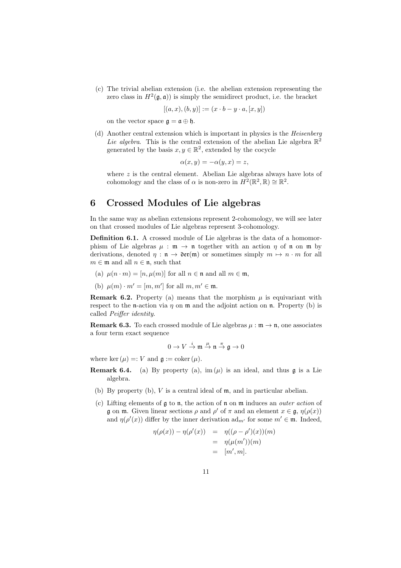(c) The trivial abelian extension (i.e. the abelian extension representing the zero class in  $H^2(\mathfrak{g},\mathfrak{a})$  is simply the semidirect product, i.e. the bracket

$$
[(a, x), (b, y)] := (x \cdot b - y \cdot a, [x, y])
$$

on the vector space  $\mathfrak{g} = \mathfrak{a} \oplus \mathfrak{h}$ .

(d) Another central extension which is important in physics is the Heisenberg Lie algebra. This is the central extension of the abelian Lie algebra  $\mathbb{R}^2$ generated by the basis  $x, y \in \mathbb{R}^2$ , extended by the cocycle

$$
\alpha(x, y) = -\alpha(y, x) = z,
$$

where z is the central element. Abelian Lie algebras always have lots of cohomology and the class of  $\alpha$  is non-zero in  $H^2(\mathbb{R}^2, \mathbb{R}) \cong \mathbb{R}^2$ .

### 6 Crossed Modules of Lie algebras

In the same way as abelian extensions represent 2-cohomology, we will see later on that crossed modules of Lie algebras represent 3-cohomology.

Definition 6.1. A crossed module of Lie algebras is the data of a homomorphism of Lie algebras  $\mu : \mathfrak{m} \to \mathfrak{n}$  together with an action  $\eta$  of  $\mathfrak{n}$  on  $\mathfrak{m}$  by derivations, denoted  $\eta : \mathfrak{n} \to \mathfrak{der}(\mathfrak{m})$  or sometimes simply  $m \mapsto n \cdot m$  for all  $m \in \mathfrak{m}$  and all  $n \in \mathfrak{n}$ , such that

- (a)  $\mu(n \cdot m) = [n, \mu(m)]$  for all  $n \in \mathfrak{n}$  and all  $m \in \mathfrak{m}$ ,
- (b)  $\mu(m) \cdot m' = [m, m']$  for all  $m, m' \in \mathfrak{m}$ .

**Remark 6.2.** Property (a) means that the morphism  $\mu$  is equivariant with respect to the n-action via  $\eta$  on  $\mathfrak m$  and the adjoint action on  $\mathfrak n$ . Property (b) is called Peiffer identity.

**Remark 6.3.** To each crossed module of Lie algebras  $\mu : \mathfrak{m} \to \mathfrak{n}$ , one associates a four term exact sequence

$$
0\to V\stackrel{i}{\to}{\mathfrak m}\stackrel{\mu}{\to} {\mathfrak n}\stackrel{\pi}{\to}{\mathfrak g}\to 0
$$

where ker  $(\mu) =: V$  and  $\mathfrak{g} := \mathrm{coker}(\mu)$ .

- **Remark 6.4.** (a) By property (a),  $\text{im}(\mu)$  is an ideal, and thus g is a Lie algebra.
	- (b) By property (b), V is a central ideal of m, and in particular abelian.
	- (c) Lifting elements of  $\alpha$  to n, the action of n on m induces an *outer action* of **g** on **m**. Given linear sections  $\rho$  and  $\rho'$  of  $\pi$  and an element  $x \in \mathfrak{g}, \eta(\rho(x))$ and  $\eta(\rho'(x))$  differ by the inner derivation  $ad_{m'}$  for some  $m' \in \mathfrak{m}$ . Indeed,

$$
\eta(\rho(x)) - \eta(\rho'(x)) = \eta((\rho - \rho')(x))(m) \n= \eta(\mu(m'))(m) \n= [m', m].
$$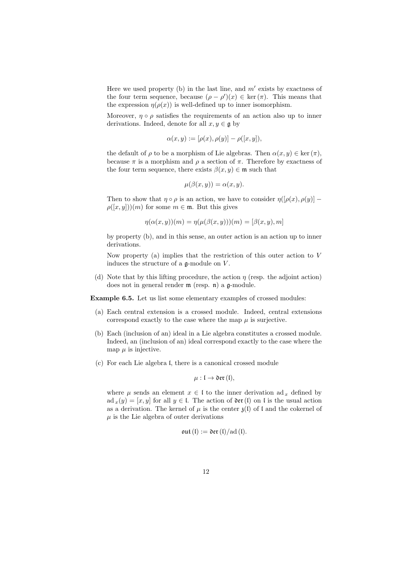Here we used property (b) in the last line, and  $m'$  exists by exactness of the four term sequence, because  $(\rho - \rho')(x) \in \text{ker}(\pi)$ . This means that the expression  $\eta(\rho(x))$  is well-defined up to inner isomorphism.

Moreover,  $\eta \circ \rho$  satisfies the requirements of an action also up to inner derivations. Indeed, denote for all  $x, y \in \mathfrak{g}$  by

$$
\alpha(x, y) := [\rho(x), \rho(y)] - \rho([x, y]),
$$

the default of  $\rho$  to be a morphism of Lie algebras. Then  $\alpha(x, y) \in \text{ker}(\pi)$ , because  $\pi$  is a morphism and  $\rho$  a section of  $\pi$ . Therefore by exactness of the four term sequence, there exists  $\beta(x, y) \in \mathfrak{m}$  such that

$$
\mu(\beta(x, y)) = \alpha(x, y).
$$

Then to show that  $\eta \circ \rho$  is an action, we have to consider  $\eta([\rho(x), \rho(y)] \rho([x, y])(m)$  for some  $m \in \mathfrak{m}$ . But this gives

$$
\eta(\alpha(x,y))(m) = \eta(\mu(\beta(x,y)))(m) = [\beta(x,y),m]
$$

by property (b), and in this sense, an outer action is an action up to inner derivations.

Now property (a) implies that the restriction of this outer action to  $V$ induces the structure of a  $\mathfrak{a}\text{-module on }V$ .

(d) Note that by this lifting procedure, the action  $\eta$  (resp. the adjoint action) does not in general render  $m$  (resp.  $n$ ) a  $g$ -module.

Example 6.5. Let us list some elementary examples of crossed modules:

- (a) Each central extension is a crossed module. Indeed, central extensions correspond exactly to the case where the map  $\mu$  is surjective.
- (b) Each (inclusion of an) ideal in a Lie algebra constitutes a crossed module. Indeed, an (inclusion of an) ideal correspond exactly to the case where the map  $\mu$  is injective.
- (c) For each Lie algebra l, there is a canonical crossed module

$$
\mu: \mathfrak{l} \to \mathfrak{der}(\mathfrak{l}),
$$

where  $\mu$  sends an element  $x \in I$  to the inner derivation ad x defined by ad  $_x(y) = [x, y]$  for all  $y \in I$ . The action of  $\partial \mathfrak{er}(I)$  on l is the usual action as a derivation. The kernel of  $\mu$  is the center  $\chi$ (l) of l and the cokernel of  $\mu$  is the Lie algebra of outer derivations

$$
\mathfrak{out}(\mathfrak{l}):=\mathfrak{der}(\mathfrak{l})/\mathrm{ad}(\mathfrak{l}).
$$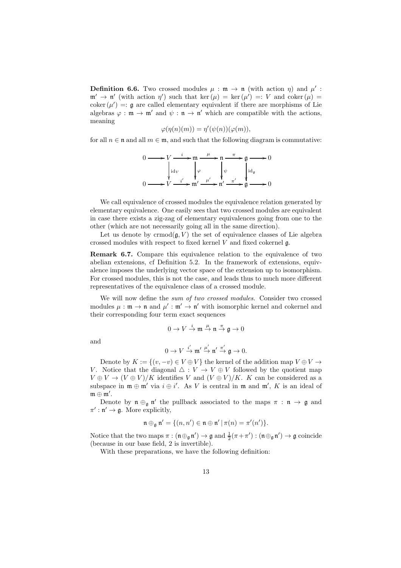**Definition 6.6.** Two crossed modules  $\mu : \mathfrak{m} \to \mathfrak{n}$  (with action  $\eta$ ) and  $\mu'$ :  $\mathfrak{m}' \to \mathfrak{n}'$  (with action  $\eta'$ ) such that ker  $(\mu) = \ker(\mu') =: V$  and coker  $(\mu) =$ coker  $(\mu') =: \mathfrak{g}$  are called elementary equivalent if there are morphisms of Lie algebras  $\varphi : \mathfrak{m} \to \mathfrak{m}'$  and  $\psi : \mathfrak{n} \to \mathfrak{n}'$  which are compatible with the actions, meaning

$$
\varphi(\eta(n)(m)) = \eta'(\psi(n))(\varphi(m)),
$$

for all  $n \in \mathfrak{n}$  and all  $m \in \mathfrak{m}$ , and such that the following diagram is commutative:

$$
0 \longrightarrow V \xrightarrow{i} \mathfrak{m} \xrightarrow{\mu} \mathfrak{n} \xrightarrow{\pi} \mathfrak{g} \longrightarrow 0
$$
  
\n
$$
\downarrow id_V \qquad \downarrow \varphi \qquad \downarrow \psi
$$
  
\n
$$
0 \longrightarrow V \xrightarrow{i'} \mathfrak{m}' \xrightarrow{\mu'} \mathfrak{n}' \xrightarrow{\pi'} \mathfrak{g} \longrightarrow 0
$$

We call equivalence of crossed modules the equivalence relation generated by elementary equivalence. One easily sees that two crossed modules are equivalent in case there exists a zig-zag of elementary equivalences going from one to the other (which are not necessarily going all in the same direction).

Let us denote by crmod $(q, V)$  the set of equivalence classes of Lie algebra crossed modules with respect to fixed kernel  $V$  and fixed cokernel  $\mathfrak{g}$ .

Remark 6.7. Compare this equivalence relation to the equivalence of two abelian extensions, cf Definition 5.2. In the framework of extensions, equivalence imposes the underlying vector space of the extension up to isomorphism. For crossed modules, this is not the case, and leads thus to much more different representatives of the equivalence class of a crossed module.

We will now define the sum of two crossed modules. Consider two crossed modules  $\mu : \mathfrak{m} \to \mathfrak{n}$  and  $\mu' : \mathfrak{m}' \to \mathfrak{n}'$  with isomorphic kernel and cokernel and their corresponding four term exact sequences

$$
0\to V\stackrel{i}{\to}{\mathfrak m}\stackrel{\mu}{\to} {\mathfrak n}\stackrel{\pi}{\to}{\mathfrak g}\to 0
$$

and

$$
0 \to V \xrightarrow{i'} \mathfrak{m}' \xrightarrow{\mu'} \mathfrak{n}' \xrightarrow{\pi'} \mathfrak{g} \to 0.
$$

Denote by  $K := \{(v, -v) \in V \oplus V\}$  the kernel of the addition map  $V \oplus V \rightarrow$ V. Notice that the diagonal  $\triangle : V \to V \oplus V$  followed by the quotient map  $V \oplus V \to (V \oplus V)/K$  identifies V and  $(V \oplus V)/K$ . K can be considered as a subspace in  $\mathfrak{m} \oplus \mathfrak{m}'$  via  $i \oplus i'$ . As V is central in  $\mathfrak{m}$  and  $\mathfrak{m}'$ , K is an ideal of  $\mathfrak{m}\oplus\mathfrak{m}'$  .

Denote by  $\mathfrak{n} \oplus_{\mathfrak{g}} \mathfrak{n}'$  the pullback associated to the maps  $\pi : \mathfrak{n} \to \mathfrak{g}$  and  $\pi': \mathfrak{n}' \to \mathfrak{g}$ . More explicitly,

$$
\mathfrak{n} \oplus_{\mathfrak{g}} \mathfrak{n}' = \{ (n, n') \in \mathfrak{n} \oplus \mathfrak{n}' \mid \pi(n) = \pi'(n') \}.
$$

Notice that the two maps  $\pi : (\mathfrak{n} \oplus_{\mathfrak{g}} \mathfrak{n}') \to \mathfrak{g}$  and  $\frac{1}{2}(\pi + \pi') : (\mathfrak{n} \oplus_{\mathfrak{g}} \mathfrak{n}') \to \mathfrak{g}$  coincide (because in our base field, 2 is invertible).

With these preparations, we have the following definition: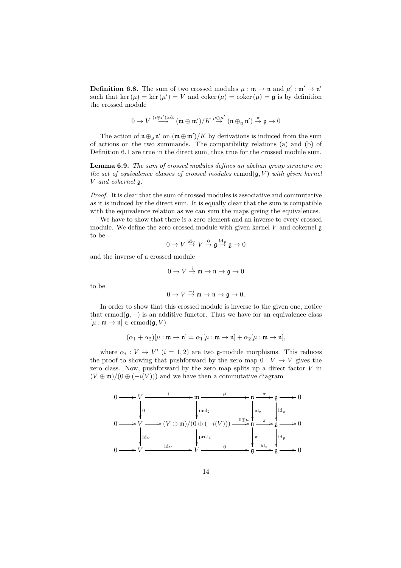**Definition 6.8.** The sum of two crossed modules  $\mu : \mathfrak{m} \to \mathfrak{n}$  and  $\mu' : \mathfrak{m}' \to \mathfrak{n}'$ such that ker  $(\mu) = \ker(\mu') = V$  and coker  $(\mu) = \text{coker}(\mu) = \mathfrak{g}$  is by definition the crossed module

$$
0 \to V \overset{(i \oplus i') \circ \triangle}{\longrightarrow} (\mathfrak{m} \oplus \mathfrak{m}')/K \overset{\mu \oplus \mu'}{\to} (\mathfrak{n} \oplus_{\mathfrak{g}} \mathfrak{n}') \overset{\pi}{\to} \mathfrak{g} \to 0
$$

The action of  $\mathfrak{n} \oplus_{\mathfrak{g}} \mathfrak{n}'$  on  $(\mathfrak{m} \oplus \mathfrak{m}')/K$  by derivations is induced from the sum of actions on the two summands. The compatibility relations (a) and (b) of Definition 6.1 are true in the direct sum, thus true for the crossed module sum.

Lemma 6.9. The sum of crossed modules defines an abelian group structure on the set of equivalence classes of crossed modules crmod $(g, V)$  with given kernel V and cokernel g.

Proof. It is clear that the sum of crossed modules is associative and commutative as it is induced by the direct sum. It is equally clear that the sum is compatible with the equivalence relation as we can sum the maps giving the equivalences.

We have to show that there is a zero element and an inverse to every crossed module. We define the zero crossed module with given kernel  $V$  and cokernel  $\mathfrak g$ to be

$$
0 \to V \stackrel{\mathrm{id}_V}{\to} V \stackrel{0}{\to} \mathfrak{g} \stackrel{\mathrm{id}_\mathfrak{g}}{\to} \mathfrak{g} \to 0
$$

and the inverse of a crossed module

$$
0\to V\stackrel{i}{\to}{\mathfrak m}\to {\mathfrak n}\to {\mathfrak g}\to 0
$$

to be

$$
0 \to V \stackrel{-i}{\to} \mathfrak{m} \to \mathfrak{n} \to \mathfrak{g} \to 0.
$$

In order to show that this crossed module is inverse to the given one, notice that crmod $(\mathfrak{g},-)$  is an additive functor. Thus we have for an equivalence class  $[\mu : \mathfrak{m} \to \mathfrak{n}] \in \mathrm{ermod}(\mathfrak{g}, V)$ 

$$
(\alpha_1 + \alpha_2)[\mu : \mathfrak{m} \to \mathfrak{n}] = \alpha_1[\mu : \mathfrak{m} \to \mathfrak{n}] + \alpha_2[\mu : \mathfrak{m} \to \mathfrak{n}],
$$

where  $\alpha_i: V \to V'$   $(i = 1, 2)$  are two g-module morphisms. This reduces the proof to showing that pushforward by the zero map  $0: V \to V$  gives the zero class. Now, pushforward by the zero map splits up a direct factor  $V$  in  $(V \oplus \mathfrak{m})/(0 \oplus (-i(V)))$  and we have then a commutative diagram

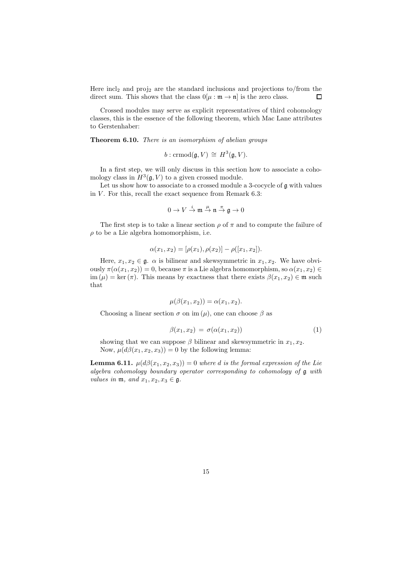Here  $\text{incl}_2$  and  $\text{proj}_2$  are the standard inclusions and projections to/from the direct sum. This shows that the class  $0[\mu : \mathfrak{m} \to \mathfrak{n}]$  is the zero class.  $\Box$ 

Crossed modules may serve as explicit representatives of third cohomology classes, this is the essence of the following theorem, which Mac Lane attributes to Gerstenhaber:

Theorem 6.10. There is an isomorphism of abelian groups

$$
b: \mathrm{crmod}(\mathfrak{g}, V) \,\cong\, H^3(\mathfrak{g}, V).
$$

In a first step, we will only discuss in this section how to associate a cohomology class in  $H^3(\mathfrak{g}, V)$  to a given crossed module.

Let us show how to associate to a crossed module a 3-cocycle of  $\mathfrak g$  with values in  $V$ . For this, recall the exact sequence from Remark 6.3:

$$
0\to V\stackrel{i}{\to}{\mathfrak m}\stackrel{\mu}{\to} {\mathfrak n}\stackrel{\pi}{\to}{\mathfrak g}\to 0
$$

The first step is to take a linear section  $\rho$  of  $\pi$  and to compute the failure of  $\rho$  to be a Lie algebra homomorphism, i.e.

$$
\alpha(x_1, x_2) = [\rho(x_1), \rho(x_2)] - \rho([x_1, x_2]).
$$

Here,  $x_1, x_2 \in \mathfrak{g}$ .  $\alpha$  is bilinear and skewsymmetric in  $x_1, x_2$ . We have obviously  $\pi(\alpha(x_1, x_2)) = 0$ , because  $\pi$  is a Lie algebra homomorphism, so  $\alpha(x_1, x_2) \in$ im ( $\mu$ ) = ker (π). This means by exactness that there exists  $\beta(x_1, x_2) \in \mathfrak{m}$  such that

$$
\mu(\beta(x_1, x_2)) = \alpha(x_1, x_2).
$$

Choosing a linear section  $\sigma$  on im  $(\mu)$ , one can choose  $\beta$  as

$$
\beta(x_1, x_2) = \sigma(\alpha(x_1, x_2)) \tag{1}
$$

showing that we can suppose  $\beta$  bilinear and skewsymmetric in  $x_1, x_2$ . Now,  $\mu(d\beta(x_1, x_2, x_3)) = 0$  by the following lemma:

**Lemma 6.11.**  $\mu(d\beta(x_1, x_2, x_3)) = 0$  where d is the formal expression of the Lie algebra cohomology boundary operator corresponding to cohomology of g with values in  $\mathfrak{m}$ , and  $x_1, x_2, x_3 \in \mathfrak{g}$ .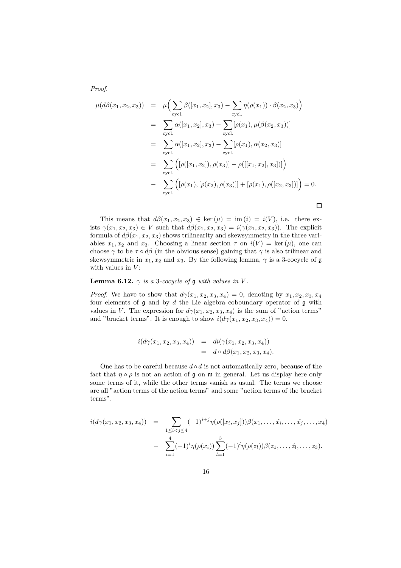Proof.

$$
\mu(d\beta(x_1, x_2, x_3)) = \mu\Big(\sum_{\text{cycl.}} \beta([x_1, x_2], x_3) - \sum_{\text{cycl.}} \eta(\rho(x_1)) \cdot \beta(x_2, x_3)\Big)
$$
  
\n
$$
= \sum_{\text{cycl.}} \alpha([x_1, x_2], x_3) - \sum_{\text{cycl.}} [\rho(x_1), \mu(\beta(x_2, x_3))]
$$
  
\n
$$
= \sum_{\text{cycl.}} \alpha([x_1, x_2], x_3) - \sum_{\text{cycl.}} [\rho(x_1), \alpha(x_2, x_3)]
$$
  
\n
$$
= \sum_{\text{cycl.}} ([\rho([x_1, x_2]), \rho(x_3)] - \rho([[x_1, x_2], x_3])])
$$
  
\n
$$
- \sum_{\text{cycl.}} ([\rho(x_1), [\rho(x_2), \rho(x_3)]] + [\rho(x_1), \rho([x_2, x_3])]) = 0.
$$

This means that  $d\beta(x_1, x_2, x_3) \in \text{ker}(\mu) = \text{im}(i) = i(V)$ , i.e. there exists  $\gamma(x_1, x_2, x_3) \in V$  such that  $d\beta(x_1, x_2, x_3) = i(\gamma(x_1, x_2, x_3))$ . The explicit formula of  $d\beta(x_1, x_2, x_3)$  shows trilinearity and skewsymmetry in the three variables  $x_1, x_2$  and  $x_3$ . Choosing a linear section  $\tau$  on  $i(V) = \text{ker}(\mu)$ , one can choose  $\gamma$  to be  $\tau \circ d\beta$  (in the obvious sense) gaining that  $\gamma$  is also trilinear and skewsymmetric in  $x_1, x_2$  and  $x_3$ . By the following lemma,  $\gamma$  is a 3-cocycle of  $\mathfrak g$ with values in  $V$ :

#### **Lemma 6.12.**  $\gamma$  is a 3-cocycle of g with values in V.

*Proof.* We have to show that  $d\gamma(x_1, x_2, x_3, x_4) = 0$ , denoting by  $x_1, x_2, x_3, x_4$ four elements of  $\mathfrak g$  and by  $d$  the Lie algebra coboundary operator of  $\mathfrak g$  with values in V. The expression for  $d\gamma(x_1, x_2, x_3, x_4)$  is the sum of "action terms" and "bracket terms". It is enough to show  $i(d\gamma(x_1, x_2, x_3, x_4)) = 0$ .

$$
i(d\gamma(x_1, x_2, x_3, x_4)) = di(\gamma(x_1, x_2, x_3, x_4))
$$
  
=  $d \circ d\beta(x_1, x_2, x_3, x_4)$ .

One has to be careful because  $d \circ d$  is not automatically zero, because of the fact that  $\eta \circ \rho$  is not an action of g on m in general. Let us display here only some terms of it, while the other terms vanish as usual. The terms we choose are all "action terms of the action terms" and some "action terms of the bracket terms".

$$
i(d\gamma(x_1, x_2, x_3, x_4)) = \sum_{1 \leq i < j \leq 4} (-1)^{i+j} \eta(\rho([x_i, x_j])) \beta(x_1, \dots, \hat{x_i}, \dots, \hat{x_j}, \dots, x_4) - \sum_{i=1}^4 (-1)^i \eta(\rho(x_i)) \sum_{l=1}^3 (-1)^l \eta(\rho(z_l)) \beta(z_1, \dots, \hat{z_l}, \dots, z_3).
$$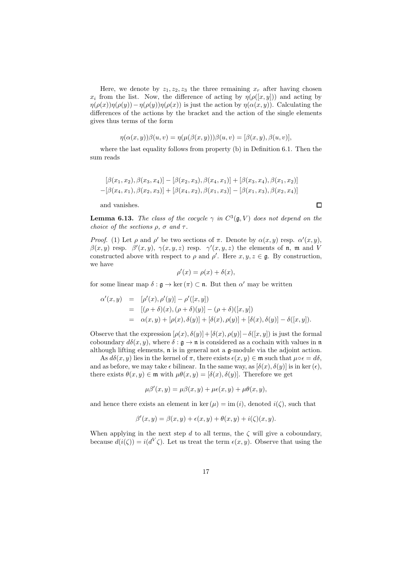Here, we denote by  $z_1, z_2, z_3$  the three remaining  $x_r$  after having chosen  $x_i$  from the list. Now, the difference of acting by  $\eta(\rho([x, y]))$  and acting by  $\eta(\rho(x))\eta(\rho(y))-\eta(\rho(y))\eta(\rho(x))$  is just the action by  $\eta(\alpha(x,y))$ . Calculating the differences of the actions by the bracket and the action of the single elements gives thus terms of the form

$$
\eta(\alpha(x,y))\beta(u,v) = \eta(\mu(\beta(x,y)))\beta(u,v) = [\beta(x,y), \beta(u,v)],
$$

where the last equality follows from property (b) in Definition 6.1. Then the sum reads

$$
[\beta(x_1, x_2), \beta(x_3, x_4)] - [\beta(x_2, x_3), \beta(x_4, x_1)] + [\beta(x_3, x_4), \beta(x_1, x_2)] - [\beta(x_4, x_1), \beta(x_2, x_3)] + [\beta(x_4, x_2), \beta(x_1, x_3)] - [\beta(x_1, x_3), \beta(x_2, x_4)]
$$

and vanishes.

 $\Box$ 

**Lemma 6.13.** The class of the cocycle  $\gamma$  in  $C^3(\mathfrak{g}, V)$  does not depend on the choice of the sections  $\rho$ ,  $\sigma$  and  $\tau$ .

Proof. (1) Let  $\rho$  and  $\rho'$  be two sections of  $\pi$ . Denote by  $\alpha(x, y)$  resp.  $\alpha'(x, y)$ ,  $\beta(x, y)$  resp.  $\beta'(x, y), \gamma(x, y, z)$  resp.  $\gamma'(x, y, z)$  the elements of n, m and V constructed above with respect to  $\rho$  and  $\rho'$ . Here  $x, y, z \in \mathfrak{g}$ . By construction, we have

$$
\rho'(x) = \rho(x) + \delta(x),
$$

for some linear map  $\delta : \mathfrak{g} \to \ker(\pi) \subset \mathfrak{n}$ . But then  $\alpha'$  may be written

$$
\alpha'(x,y) = [\rho'(x), \rho'(y)] - \rho'([x,y])
$$
  
= 
$$
[(\rho + \delta)(x), (\rho + \delta)(y)] - (\rho + \delta)([x,y])
$$
  
= 
$$
\alpha(x,y) + [\rho(x), \delta(y)] + [\delta(x), \rho(y)] + [\delta(x), \delta(y)] - \delta([x,y]).
$$

Observe that the expression  $[\rho(x), \delta(y)] + [\delta(x), \rho(y)] - \delta([x, y])$  is just the formal coboundary  $d\delta(x, y)$ , where  $\delta : \mathfrak{g} \to \mathfrak{n}$  is considered as a cochain with values in  $\mathfrak{n}$ although lifting elements, n is in general not a g-module via the adjoint action.

As  $d\delta(x, y)$  lies in the kernel of  $\pi$ , there exists  $\epsilon(x, y) \in \mathfrak{m}$  such that  $\mu \circ \epsilon = d\delta$ , and as before, we may take  $\epsilon$  bilinear. In the same way, as  $[\delta(x), \delta(y)]$  is in ker  $(\epsilon)$ , there exists  $\theta(x, y) \in \mathfrak{m}$  with  $\mu\theta(x, y) = [\delta(x), \delta(y)]$ . Therefore we get

$$
\mu\beta'(x,y) = \mu\beta(x,y) + \mu\epsilon(x,y) + \mu\theta(x,y),
$$

and hence there exists an element in ker  $(\mu) = \text{im } (i)$ , denoted  $i(\zeta)$ , such that

$$
\beta'(x,y) = \beta(x,y) + \epsilon(x,y) + \theta(x,y) + i(\zeta)(x,y).
$$

When applying in the next step d to all terms, the  $\zeta$  will give a coboundary, because  $d(i(\zeta)) = i(d^V \zeta)$ . Let us treat the term  $\epsilon(x, y)$ . Observe that using the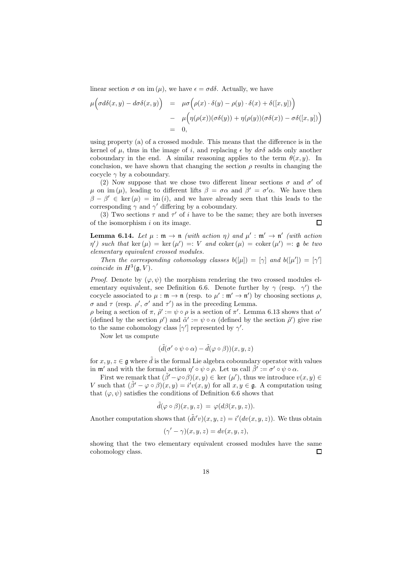linear section  $\sigma$  on im ( $\mu$ ), we have  $\epsilon = \sigma d\delta$ . Actually, we have

$$
\mu\Big(\sigma d\delta(x,y) - d\sigma\delta(x,y)\Big) = \mu\sigma\Big(\rho(x)\cdot\delta(y) - \rho(y)\cdot\delta(x) + \delta([x,y])\Big) \n- \mu\Big(\eta(\rho(x))(\sigma\delta(y)) + \eta(\rho(y))(\sigma\delta(x)) - \sigma\delta([x,y])\Big) \n= 0,
$$

using property (a) of a crossed module. This means that the difference is in the kernel of  $\mu$ , thus in the image of i, and replacing  $\epsilon$  by  $d\sigma\delta$  adds only another coboundary in the end. A similar reasoning applies to the term  $\theta(x, y)$ . In conclusion, we have shown that changing the section  $\rho$  results in changing the cocycle  $\gamma$  by a coboundary.

(2) Now suppose that we chose two different linear sections  $\sigma$  and  $\sigma'$  of  $\mu$  on im (μ), leading to different lifts  $\beta = \sigma \alpha$  and  $\beta' = \sigma' \alpha$ . We have then  $\beta - \beta' \in \text{ker}(\mu) = \text{im}(i)$ , and we have already seen that this leads to the corresponding  $\gamma$  and  $\gamma'$  differing by a coboundary.

(3) Two sections  $\tau$  and  $\tau'$  of i have to be the same; they are both inverses of the isomorphism  $i$  on its image.  $\Box$ 

**Lemma 6.14.** Let  $\mu : \mathfrak{m} \to \mathfrak{n}$  (with action  $\eta$ ) and  $\mu' : \mathfrak{m}' \to \mathfrak{n}'$  (with action  $\eta'$ ) such that ker  $(\mu) = \ker(\mu') =: V$  and coker  $(\mu) = \text{coker}(\mu') =: \mathfrak{g}$  be two elementary equivalent crossed modules.

Then the corresponding cohomology classes  $b([\mu]) = [\gamma]$  and  $b([\mu']) = [\gamma']$ coincide in  $H^3(\mathfrak{g}, V)$ .

*Proof.* Denote by  $(\varphi, \psi)$  the morphism rendering the two crossed modules elementary equivalent, see Definition 6.6. Denote further by  $\gamma$  (resp.  $\gamma'$ ) the cocycle associated to  $\mu : \mathfrak{m} \to \mathfrak{n}$  (resp. to  $\mu' : \mathfrak{m}' \to \mathfrak{n}'$ ) by choosing sections  $\rho$ ,  $\sigma$  and  $\tau$  (resp.  $\rho'$ ,  $\sigma'$  and  $\tau'$ ) as in the preceding Lemma.

ρ being a section of π,  $\tilde{\rho}' := \psi \circ \rho$  is a section of π'. Lemma 6.13 shows that  $\alpha'$ (defined by the section  $\rho'$ ) and  $\tilde{\alpha}' := \psi \circ \alpha$  (defined by the section  $\tilde{\rho}'$ ) give rise to the same cohomology class  $[\gamma']$  represented by  $\gamma'$ .

Now let us compute

$$
(\tilde{d}(\sigma' \circ \psi \circ \alpha) - \tilde{d}(\varphi \circ \beta))(x, y, z)
$$

for  $x, y, z \in \mathfrak{g}$  where  $\tilde{d}$  is the formal Lie algebra coboundary operator with values in  $\mathfrak{m}'$  and with the formal action  $\eta' \circ \psi \circ \rho$ . Let us call  $\tilde{\beta}' := \sigma' \circ \psi \circ \alpha$ .

First we remark that  $(\tilde{\beta}' - \varphi \circ \beta)(x, y) \in \text{ker } (\mu')$ , thus we introduce  $v(x, y) \in$ V such that  $(\tilde{\beta}' - \varphi \circ \beta)(x, y) = i'v(x, y)$  for all  $x, y \in \mathfrak{g}$ . A computation using that  $(\varphi, \psi)$  satisfies the conditions of Definition 6.6 shows that

$$
\tilde{d}(\varphi \circ \beta)(x, y, z) = \varphi(d\beta(x, y, z)).
$$

Another computation shows that  $(\tilde{d}i'v)(x, y, z) = i'(dv(x, y, z))$ . We thus obtain

$$
(\gamma' - \gamma)(x, y, z) = dv(x, y, z),
$$

showing that the two elementary equivalent crossed modules have the same cohomology class.  $\Box$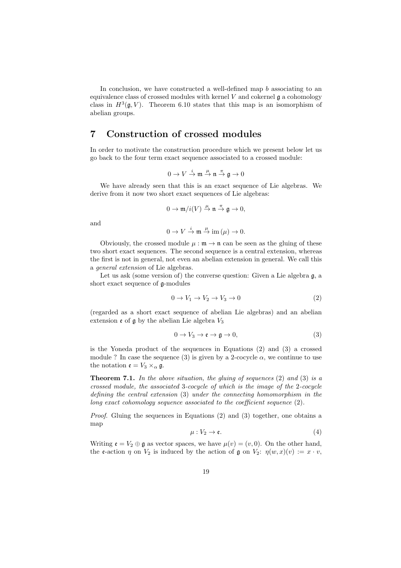In conclusion, we have constructed a well-defined map b associating to an equivalence class of crossed modules with kernel  $V$  and cokernel  $\mathfrak g$  a cohomology class in  $H^3(\mathfrak{g}, V)$ . Theorem 6.10 states that this map is an isomorphism of abelian groups.

# 7 Construction of crossed modules

In order to motivate the construction procedure which we present below let us go back to the four term exact sequence associated to a crossed module:

$$
0\to V\stackrel{i}{\to}{\mathfrak m}\stackrel{\mu}{\to} {\mathfrak n}\stackrel{\pi}{\to} {\mathfrak g}\to 0
$$

We have already seen that this is an exact sequence of Lie algebras. We derive from it now two short exact sequences of Lie algebras:

$$
0 \to \mathfrak{m}/i(V) \stackrel{\mu}{\to} \mathfrak{n} \stackrel{\pi}{\to} \mathfrak{g} \to 0,
$$

and

$$
0 \to V \stackrel{i}{\to} \mathfrak{m} \stackrel{\mu}{\to} \text{im } (\mu) \to 0.
$$

Obviously, the crossed module  $\mu : \mathfrak{m} \to \mathfrak{n}$  can be seen as the gluing of these two short exact sequences. The second sequence is a central extension, whereas the first is not in general, not even an abelian extension in general. We call this a general extension of Lie algebras.

Let us ask (some version of) the converse question: Given a Lie algebra  $\mathfrak{g}$ , a short exact sequence of g-modules

$$
0 \to V_1 \to V_2 \to V_3 \to 0 \tag{2}
$$

(regarded as a short exact sequence of abelian Lie algebras) and an abelian extension  $\mathfrak e$  of  $\mathfrak g$  by the abelian Lie algebra  $V_3$ 

$$
0 \to V_3 \to \mathfrak{e} \to \mathfrak{g} \to 0,\tag{3}
$$

is the Yoneda product of the sequences in Equations (2) and (3) a crossed module ? In case the sequence (3) is given by a 2-cocycle  $\alpha$ , we continue to use the notation  $\mathfrak{e} = V_3 \times_{\alpha} \mathfrak{g}$ .

**Theorem 7.1.** In the above situation, the gluing of sequences  $(2)$  and  $(3)$  is a crossed module, the associated 3-cocycle of which is the image of the 2-cocycle defining the central extension (3) under the connecting homomorphism in the long exact cohomology sequence associated to the coefficient sequence  $(2)$ .

Proof. Gluing the sequences in Equations (2) and (3) together, one obtains a map

$$
\mu: V_2 \to \mathfrak{e}.\tag{4}
$$

Writing  $\mathfrak{e} = V_2 \oplus \mathfrak{g}$  as vector spaces, we have  $\mu(v) = (v, 0)$ . On the other hand, the e-action  $\eta$  on  $V_2$  is induced by the action of  $\mathfrak g$  on  $V_2$ :  $\eta(w, x)(v) := x \cdot v$ ,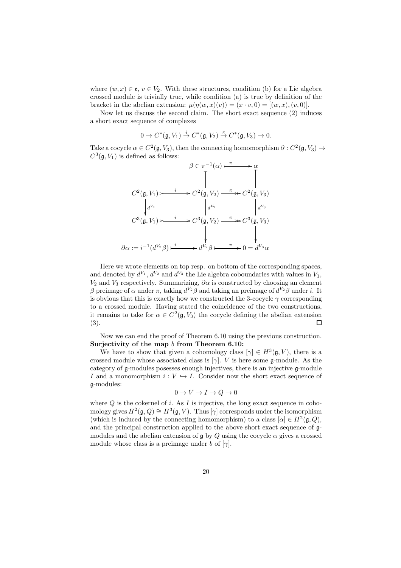where  $(w, x) \in \mathfrak{e}, v \in V_2$ . With these structures, condition (b) for a Lie algebra crossed module is trivially true, while condition (a) is true by definition of the bracket in the abelian extension:  $\mu(\eta(w, x)(v)) = (x \cdot v, 0) = [(w, x), (v, 0)].$ 

Now let us discuss the second claim. The short exact sequence (2) induces a short exact sequence of complexes

$$
0 \to C^*(\mathfrak{g}, V_1) \stackrel{i}{\to} C^*(\mathfrak{g}, V_2) \stackrel{\pi}{\to} C^*(\mathfrak{g}, V_3) \to 0.
$$

Take a cocycle  $\alpha \in C^2(\mathfrak{g}, V_3)$ , then the connecting homomorphism  $\partial : C^2(\mathfrak{g}, V_3) \to$  $C^3(\mathfrak{g}, V_1)$  is defined as follows:

$$
\beta \in \pi^{-1}(\alpha) \xrightarrow{\pi} \alpha
$$
  
\n
$$
C^2(\mathfrak{g}, V_1) \xrightarrow{i} C^2(\mathfrak{g}, V_2) \xrightarrow{\pi} C^2(\mathfrak{g}, V_3)
$$
  
\n
$$
d^{V_1}
$$
  
\n
$$
C^3(\mathfrak{g}, V_1) \xrightarrow{i} C^3(\mathfrak{g}, V_2) \xrightarrow{\pi} C^3(\mathfrak{g}, V_3)
$$
  
\n
$$
\partial \alpha := i^{-1}(d^{V_2}\beta) \xrightarrow{i} d^{V_2}\beta \xrightarrow{\pi} 0 = d^{V_3}\alpha
$$

Here we wrote elements on top resp. on bottom of the corresponding spaces, and denoted by  $d^{V_1}$ ,  $d^{V_2}$  and  $d^{V_3}$  the Lie algebra coboundaries with values in  $V_1$ ,  $V_2$  and  $V_3$  respectively. Summarizing,  $\partial \alpha$  is constructed by choosing an element β preimage of  $\alpha$  under  $\pi$ , taking  $d^{V_2} \beta$  and taking an preimage of  $d^{V_2} \beta$  under *i*. It is obvious that this is exactly how we constructed the 3-cocycle  $\gamma$  corresponding to a crossed module. Having stated the coincidence of the two constructions, it remains to take for  $\alpha \in C^2(\mathfrak{g}, V_3)$  the cocycle defining the abelian extension (3).  $\Box$ 

Now we can end the proof of Theorem 6.10 using the previous construction. Surjectivity of the map b from Theorem 6.10:

We have to show that given a cohomology class  $[\gamma] \in H^3(\mathfrak{g}, V)$ , there is a crossed module whose associated class is  $[\gamma]$ . *V* is here some  $\mathfrak{g}$ -module. As the category of g-modules posesses enough injectives, there is an injective g-module I and a monomorphism  $i: V \hookrightarrow I$ . Consider now the short exact sequence of g-modules:

$$
0 \to V \to I \to Q \to 0
$$

where  $Q$  is the cokernel of i. As  $I$  is injective, the long exact sequence in cohomology gives  $H^2(\mathfrak{g}, Q) \cong H^3(\mathfrak{g}, V)$ . Thus  $[\gamma]$  corresponds under the isomorphism (which is induced by the connecting homomorphism) to a class  $[\alpha] \in H^2(\mathfrak{g}, Q)$ , and the principal construction applied to the above short exact sequence of gmodules and the abelian extension of  $\mathfrak g$  by Q using the cocycle  $\alpha$  gives a crossed module whose class is a preimage under b of  $[\gamma]$ .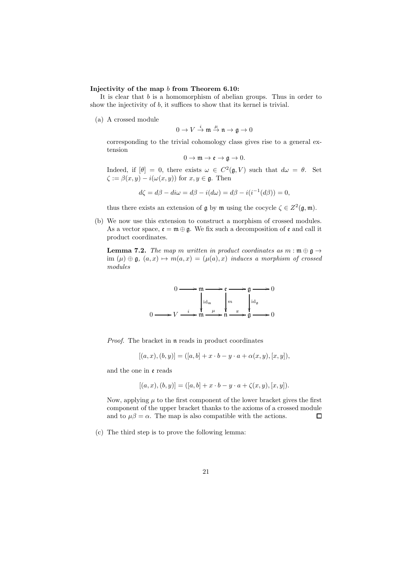#### Injectivity of the map b from Theorem 6.10:

It is clear that  $b$  is a homomorphism of abelian groups. Thus in order to show the injectivity of b, it suffices to show that its kernel is trivial.

(a) A crossed module

$$
0\to V\stackrel{i}{\to}{\mathfrak m}\stackrel{\mu}{\to} {\mathfrak n}\to {\mathfrak g}\to 0
$$

corresponding to the trivial cohomology class gives rise to a general extension

$$
0 \to \mathfrak{m} \to \mathfrak{e} \to \mathfrak{g} \to 0.
$$

Indeed, if  $[\theta] = 0$ , there exists  $\omega \in C^2(\mathfrak{g}, V)$  such that  $d\omega = \theta$ . Set  $\zeta := \beta(x, y) - i(\omega(x, y))$  for  $x, y \in \mathfrak{g}$ . Then

$$
d\zeta = d\beta - di\omega = d\beta - i(d\omega) = d\beta - i(i^{-1}(d\beta)) = 0,
$$

thus there exists an extension of  $\mathfrak g$  by  $\mathfrak m$  using the cocycle  $\zeta \in Z^2(\mathfrak g, \mathfrak m)$ .

(b) We now use this extension to construct a morphism of crossed modules. As a vector space,  $\mathfrak{e} = \mathfrak{m} \oplus \mathfrak{g}$ . We fix such a decomposition of  $\mathfrak{e}$  and call it product coordinates.

**Lemma 7.2.** The map m written in product coordinates as  $m : \mathfrak{m} \oplus \mathfrak{g} \rightarrow$ im  $(\mu) \oplus \mathfrak{g}, (a, x) \mapsto m(a, x) = (\mu(a), x)$  induces a morphism of crossed modules



Proof. The bracket in  $\mathfrak n$  reads in product coordinates

$$
[(a, x), (b, y)] = ([a, b] + x \cdot b - y \cdot a + \alpha(x, y), [x, y]),
$$

and the one in e reads

$$
[(a, x), (b, y)] = ([a, b] + x \cdot b - y \cdot a + \zeta(x, y), [x, y]).
$$

Now, applying  $\mu$  to the first component of the lower bracket gives the first component of the upper bracket thanks to the axioms of a crossed module and to  $\mu\beta = \alpha$ . The map is also compatible with the actions.  $\Box$ 

(c) The third step is to prove the following lemma: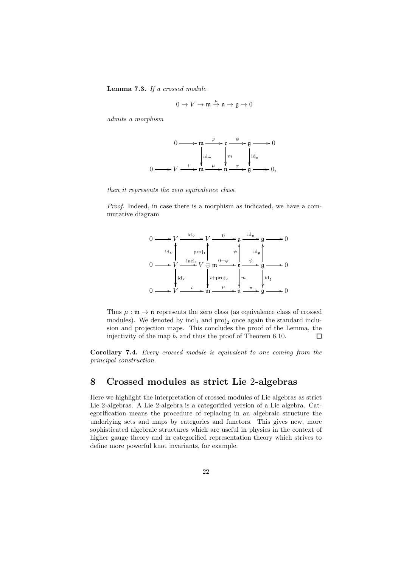Lemma 7.3. If a crossed module

$$
0\to V\to \mathfrak{m}\overset{\mu}{\to} \mathfrak{n}\to \mathfrak{g}\to 0
$$

admits a morphism

$$
0 \longrightarrow m \xrightarrow{\varphi} e \xrightarrow{\psi} g \longrightarrow 0
$$
  

$$
0 \longrightarrow V \xrightarrow{i} m \xrightarrow{d \text{Id}_m} m \xrightarrow{d \text{Id}_g} 0
$$
  

$$
0 \longrightarrow V \xrightarrow{i} m \xrightarrow{d} m \xrightarrow{\pi} g \longrightarrow 0,
$$

then it represents the zero equivalence class.

Proof. Indeed, in case there is a morphism as indicated, we have a commutative diagram



Thus  $\mu : \mathfrak{m} \to \mathfrak{n}$  represents the zero class (as equivalence class of crossed modules). We denoted by  $\text{incl}_1$  and  $\text{proj}_2$  once again the standard inclusion and projection maps. This concludes the proof of the Lemma, the injectivity of the map b, and thus the proof of Theorem 6.10.  $\Box$ 

Corollary 7.4. Every crossed module is equivalent to one coming from the principal construction.

# 8 Crossed modules as strict Lie 2-algebras

Here we highlight the interpretation of crossed modules of Lie algebras as strict Lie 2-algebras. A Lie 2-algebra is a categorified version of a Lie algebra. Categorification means the procedure of replacing in an algebraic structure the underlying sets and maps by categories and functors. This gives new, more sophisticated algebraic structures which are useful in physics in the context of higher gauge theory and in categorified representation theory which strives to define more powerful knot invariants, for example.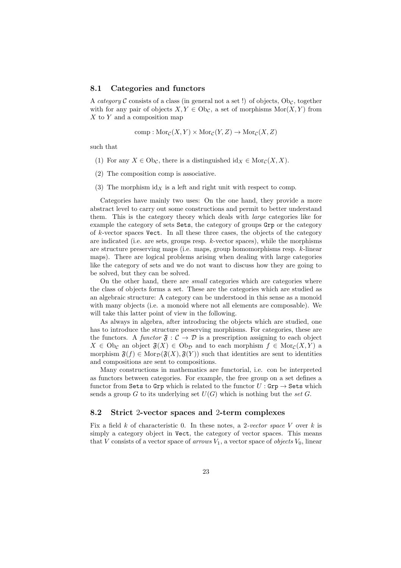#### 8.1 Categories and functors

A category C consists of a class (in general not a set !) of objects,  $\text{Ob}_{\mathcal{C}}$ , together with for any pair of objects  $X, Y \in Ob_{\mathcal{C}}$ , a set of morphisms  $Mor(X, Y)$  from X to Y and a composition map

comp : Mor<sub>C</sub>
$$
(X, Y) \times Mor_C(Y, Z) \rightarrow Mor_C(X, Z)
$$

such that

- (1) For any  $X \in \mathrm{Ob}_{\mathcal{C}}$ , there is a distinguished  $\mathrm{id}_X \in \mathrm{Mor}_{\mathcal{C}}(X, X)$ .
- (2) The composition comp is associative.
- (3) The morphism  $\mathrm{id}_X$  is a left and right unit with respect to comp.

Categories have mainly two uses: On the one hand, they provide a more abstract level to carry out some constructions and permit to better understand them. This is the category theory which deals with large categories like for example the category of sets Sets, the category of groups Grp or the category of k-vector spaces Vect. In all these three cases, the objects of the category are indicated (i.e. are sets, groups resp. k-vector spaces), while the morphisms are structure preserving maps (i.e. maps, group homomorphisms resp. k-linear maps). There are logical problems arising when dealing with large categories like the category of sets and we do not want to discuss how they are going to be solved, but they can be solved.

On the other hand, there are small categories which are categories where the class of objects forms a set. These are the categories which are studied as an algebraic structure: A category can be understood in this sense as a monoid with many objects (i.e. a monoid where not all elements are composable). We will take this latter point of view in the following.

As always in algebra, after introducing the objects which are studied, one has to introduce the structure preserving morphisms. For categories, these are the functors. A functor  $\mathfrak{F} : \mathcal{C} \to \mathcal{D}$  is a prescription assigning to each object  $X \in Ob_{\mathcal{C}}$  an object  $\mathfrak{F}(X) \in Ob_{\mathcal{D}}$  and to each morphism  $f \in Mor_{\mathcal{C}}(X, Y)$  a morphism  $\mathfrak{F}(f) \in \text{Mor}_{\mathcal{D}}(\mathfrak{F}(X), \mathfrak{F}(Y))$  such that identities are sent to identities and compositions are sent to compositions.

Many constructions in mathematics are functorial, i.e. con be interpreted as functors between categories. For example, the free group on a set defines a functor from Sets to Grp which is related to the functor  $U :$  Grp  $\rightarrow$  Sets which sends a group  $G$  to its underlying set  $U(G)$  which is nothing but the set  $G$ .

#### 8.2 Strict 2-vector spaces and 2-term complexes

Fix a field k of characteristic 0. In these notes, a 2-vector space V over k is simply a category object in Vect, the category of vector spaces. This means that V consists of a vector space of arrows  $V_1$ , a vector space of objects  $V_0$ , linear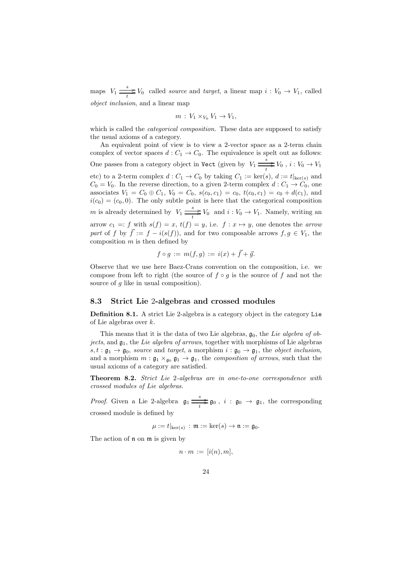maps  $V_1 \xrightarrow[t]{s} V_0$  called *source* and *target*, a linear map  $i: V_0 \to V_1$ , called object inclusion, and a linear map

$$
m: V_1 \times_{V_0} V_1 \to V_1,
$$

which is called the *categorical composition*. These data are supposed to satisfy the usual axioms of a category.

An equivalent point of view is to view a 2-vector space as a 2-term chain complex of vector spaces  $d: C_1 \to C_0$ . The equivalence is spelt out as follows: One passes from a category object in Vect (given by  $V_1 \stackrel{s}{\underset{t}{\longrightarrow}} V_0$ ,  $i: V_0 \to V_1$ etc) to a 2-term complex  $d: C_1 \to C_0$  by taking  $C_1 := \text{ker}(s), d := t|_{\text{ker}(s)}$  and  $C_0 = V_0$ . In the reverse direction, to a given 2-term complex  $d: C_1 \rightarrow C_0$ , one associates  $V_1 = C_0 \oplus C_1$ ,  $V_0 = C_0$ ,  $s(c_0, c_1) = c_0$ ,  $t(c_0, c_1) = c_0 + d(c_1)$ , and  $i(c_0) = (c_0, 0)$ . The only subtle point is here that the categorical composition m is already determined by  $V_1 \xrightarrow[t]{s} V_0$  and  $i : V_0 \to V_1$ . Namely, writing an arrow  $c_1 =: f$  with  $s(f) = x$ ,  $t(f) = y$ , i.e.  $f : x \mapsto y$ , one denotes the *arrow* part of f by  $\vec{f} := f - i(s(f))$ , and for two composable arrows  $f, g \in V_1$ , the composition  $m$  is then defined by

$$
f \circ g := m(f, g) := i(x) + \vec{f} + \vec{g}.
$$

Observe that we use here Baez-Crans convention on the composition, i.e. we compose from left to right (the source of  $f \circ q$  is the source of f and not the source of g like in usual composition).

#### 8.3 Strict Lie 2-algebras and crossed modules

Definition 8.1. A strict Lie 2-algebra is a category object in the category Lie of Lie algebras over k.

This means that it is the data of two Lie algebras,  $g_0$ , the Lie algebra of objects, and  $\mathfrak{g}_1$ , the Lie algebra of arrows, together with morphisms of Lie algebras  $s, t : \mathfrak{g}_1 \to \mathfrak{g}_0$ , source and target, a morphism  $i : \mathfrak{g}_0 \to \mathfrak{g}_1$ , the object inclusion, and a morphism  $m : \mathfrak{g}_1 \times_{\mathfrak{g}_0} \mathfrak{g}_1 \to \mathfrak{g}_1$ , the *composition of arrows*, such that the usual axioms of a category are satisfied.

Theorem 8.2. Strict Lie 2-algebras are in one-to-one correspondence with crossed modules of Lie algebras.

*Proof.* Given a Lie 2-algebra  $\mathfrak{g}_1 \stackrel{s}{\longrightarrow} \mathfrak{g}_0$ ,  $i : \mathfrak{g}_0 \to \mathfrak{g}_1$ , the corresponding crossed module is defined by

$$
\mu := t|_{\ker(s)} : \mathfrak{m} := \ker(s) \to \mathfrak{n} := \mathfrak{g}_0.
$$

The action of  $\mathfrak n$  on  $\mathfrak m$  is given by

$$
n \cdot m := [i(n), m],
$$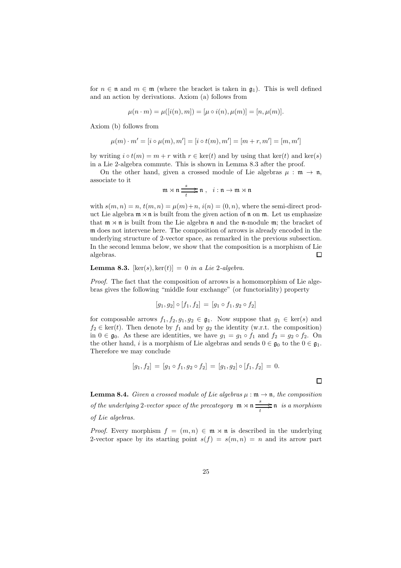for  $n \in \mathfrak{n}$  and  $m \in \mathfrak{m}$  (where the bracket is taken in  $\mathfrak{g}_1$ ). This is well defined and an action by derivations. Axiom (a) follows from

$$
\mu(n \cdot m) = \mu([i(n), m]) = [\mu \circ i(n), \mu(m)] = [n, \mu(m)].
$$

Axiom (b) follows from

$$
\mu(m) \cdot m' = [i \circ \mu(m), m'] = [i \circ t(m), m'] = [m + r, m'] = [m, m']
$$

by writing  $i \circ t(m) = m + r$  with  $r \in \text{ker}(t)$  and by using that  $\text{ker}(t)$  and  $\text{ker}(s)$ in a Lie 2-algebra commute. This is shown in Lemma 8.3 after the proof.

On the other hand, given a crossed module of Lie algebras  $\mu : \mathfrak{m} \to \mathfrak{n}$ , associate to it

$$
\mathfrak{m} \rtimes \mathfrak{n} \xrightarrow[t]{s} \mathfrak{m} , i : \mathfrak{n} \to \mathfrak{m} \rtimes \mathfrak{n}
$$

with  $s(m, n) = n$ ,  $t(m, n) = \mu(m) + n$ ,  $i(n) = (0, n)$ , where the semi-direct product Lie algebra  $m \times n$  is built from the given action of n on m. Let us emphasize that  $m \times n$  is built from the Lie algebra n and the n-module m; the bracket of m does not intervene here. The composition of arrows is already encoded in the underlying structure of 2-vector space, as remarked in the previous subsection. In the second lemma below, we show that the composition is a morphism of Lie algebras.  $\Box$ 

#### **Lemma 8.3.** [ $ker(s)$ ,  $ker(t)$ ] = 0 in a Lie 2-algebra.

Proof. The fact that the composition of arrows is a homomorphism of Lie algebras gives the following "middle four exchange" (or functoriality) property

$$
[g_1, g_2] \circ [f_1, f_2] = [g_1 \circ f_1, g_2 \circ f_2]
$$

for composable arrows  $f_1, f_2, g_1, g_2 \in \mathfrak{g}_1$ . Now suppose that  $g_1 \in \text{ker}(s)$  and  $f_2 \in \text{ker}(t)$ . Then denote by  $f_1$  and by  $g_2$  the identity (w.r.t. the composition) in  $0 \in \mathfrak{g}_0$ . As these are identities, we have  $g_1 = g_1 \circ f_1$  and  $f_2 = g_2 \circ f_2$ . On the other hand,  $i$  is a morphism of Lie algebras and sends  $0\in\mathfrak{g}_0$  to the  $0\in\mathfrak{g}_1.$ Therefore we may conclude

$$
[g_1, f_2] = [g_1 \circ f_1, g_2 \circ f_2] = [g_1, g_2] \circ [f_1, f_2] = 0.
$$

**Lemma 8.4.** Given a crossed module of Lie algebras  $\mu : \mathfrak{m} \to \mathfrak{n}$ , the composition of the underlying 2-vector space of the precategory  $\mathfrak{m} \rtimes \mathfrak{n} \xrightarrow[t]{s} \mathfrak{n}$  is a morphism of Lie algebras.

*Proof.* Every morphism  $f = (m, n) \in \mathfrak{m} \times \mathfrak{n}$  is described in the underlying 2-vector space by its starting point  $s(f) = s(m, n) = n$  and its arrow part

 $\Box$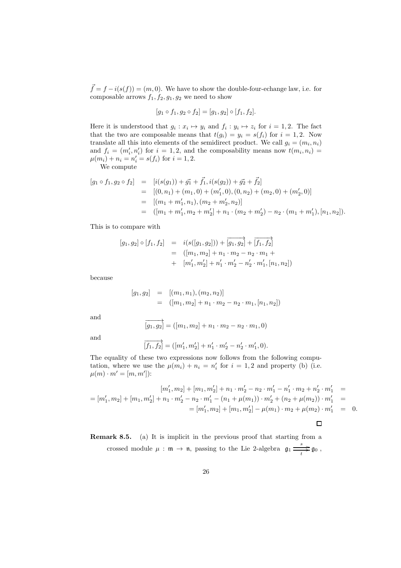$\vec{f} = f - i(s(f)) = (m, 0)$ . We have to show the double-four-echange law, i.e. for composable arrows  $f_1, f_2, g_1, g_2$  we need to show

$$
[g_1 \circ f_1, g_2 \circ f_2] = [g_1, g_2] \circ [f_1, f_2].
$$

Here it is understood that  $g_i : x_i \mapsto y_i$  and  $f_i : y_i \mapsto z_i$  for  $i = 1, 2$ . The fact that the two are composable means that  $t(g_i) = y_i = s(f_i)$  for  $i = 1, 2$ . Now translate all this into elements of the semidirect product. We call  $g_i = (m_i, n_i)$ and  $f_i = (m'_i, n'_i)$  for  $i = 1, 2$ , and the composability means now  $t(m_i, n_i) =$  $\mu(m_i) + n_i = n'_i = s(f_i)$  for  $i = 1, 2$ .

We compute

$$
[g_1 \circ f_1, g_2 \circ f_2] = [i(s(g_1)) + \vec{g_1} + \vec{f_1}, i(s(g_2)) + \vec{g_2} + \vec{f_2}]
$$
  
\n
$$
= [(0, n_1) + (m_1, 0) + (m'_1, 0), (0, n_2) + (m_2, 0) + (m'_2, 0)]
$$
  
\n
$$
= [(m_1 + m'_1, n_1), (m_2 + m'_2, n_2)]
$$
  
\n
$$
= ([m_1 + m'_1, m_2 + m'_2] + n_1 \cdot (m_2 + m'_2) - n_2 \cdot (m_1 + m'_1), [n_1, n_2]).
$$

This is to compare with

$$
[g_1, g_2] \circ [f_1, f_2] = i(s([g_1, g_2])) + \overrightarrow{[g_1, g_2]} + \overrightarrow{[f_1, f_2]}
$$
  
= 
$$
([m_1, m_2] + n_1 \cdot m_2 - n_2 \cdot m_1 +
$$
  
+ 
$$
[m'_1, m'_2] + n'_1 \cdot m'_2 - n'_2 \cdot m'_1, [n_1, n_2])
$$

because

$$
[g_1, g_2] = [(m_1, n_1), (m_2, n_2)]
$$
  
= 
$$
([m_1, m_2] + n_1 \cdot m_2 - n_2 \cdot m_1, [n_1, n_2])
$$

and 
$$
\overrightarrow{[g_1, g_2]} = ([m_1, m_2] + n_1 \cdot m_2 - n_2 \cdot m_1, 0)
$$

and 
$$
\overrightarrow{[f_1, f_2]} = ([m'_1, m'_2] + n'_1 \cdot m'_2 - n'_2 \cdot m'_1, 0).
$$

The equality of these two expressions now follows from the following computation, where we use the  $\mu(m_i) + n_i = n'_i$  for  $i = 1, 2$  and property (b) (i.e.  $\mu(m) \cdot m' = [m, m']$ :

$$
[m'_1, m_2] + [m_1, m'_2] + n_1 \cdot m'_2 - n_2 \cdot m'_1 - n'_1 \cdot m_2 + n'_2 \cdot m'_1 =
$$
  
= 
$$
[m'_1, m_2] + [m_1, m'_2] + n_1 \cdot m'_2 - n_2 \cdot m'_1 - (n_1 + \mu(m_1)) \cdot m'_2 + (n_2 + \mu(m_2)) \cdot m'_1 =
$$
  
= 
$$
[m'_1, m_2] + [m_1, m'_2] - \mu(m_1) \cdot m_2 + \mu(m_2) \cdot m'_1 = 0.
$$

 $\Box$ 

Remark 8.5. (a) It is implicit in the previous proof that starting from a crossed module  $\mu : \mathfrak{m} \to \mathfrak{n}$ , passing to the Lie 2-algebra  $\mathfrak{g}_1 \stackrel{s}{\longrightarrow} \mathfrak{g}_0$ ,